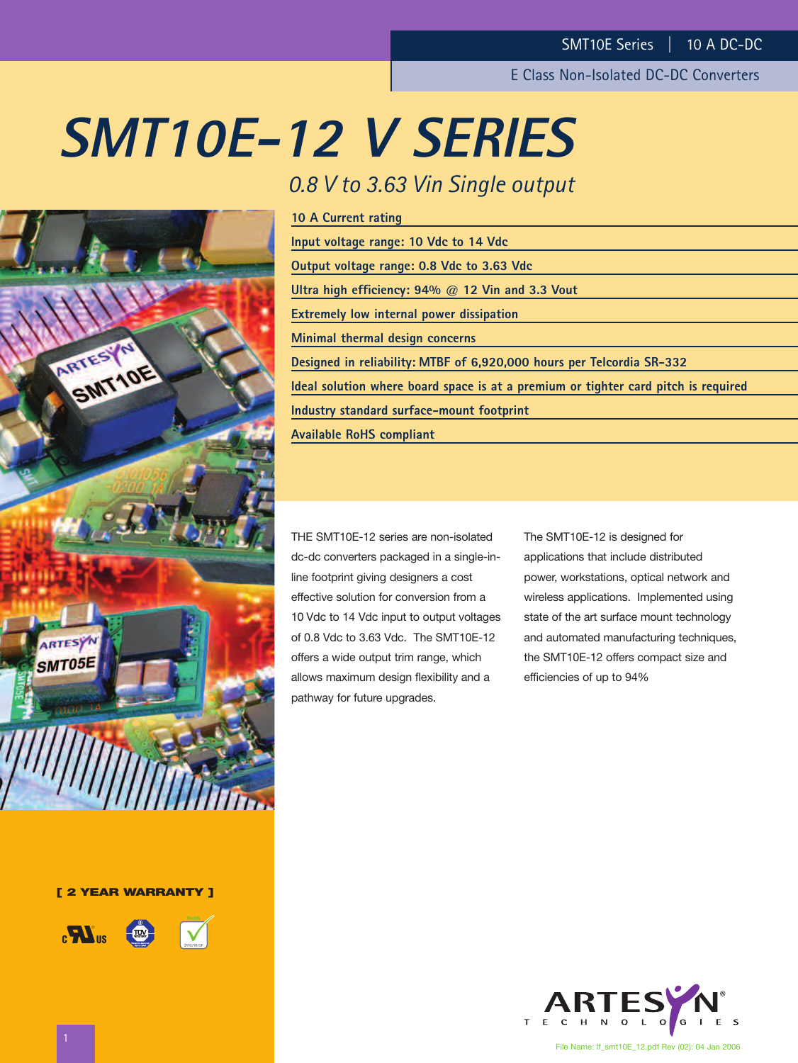# **SMT10E-12 V SERIES**



| 10 A Current rating                                                                |
|------------------------------------------------------------------------------------|
| Input voltage range: 10 Vdc to 14 Vdc                                              |
| Output voltage range: 0.8 Vdc to 3.63 Vdc                                          |
| Ultra high efficiency: $94\%$ @ 12 Vin and 3.3 Vout                                |
| <b>Extremely low internal power dissipation</b>                                    |
| Minimal thermal design concerns                                                    |
| Designed in reliability: MTBF of 6,920,000 hours per Telcordia SR-332              |
| Ideal solution where board space is at a premium or tighter card pitch is required |
| Industry standard surface-mount footprint                                          |
| <b>Available RoHS compliant</b>                                                    |
|                                                                                    |

THE SMT10E-12 series are non-isolated dc-dc converters packaged in a single-inline footprint giving designers a cost effective solution for conversion from a 10 Vdc to 14 Vdc input to output voltages of 0.8 Vdc to 3.63 Vdc. The SMT10E-12 offers a wide output trim range, which allows maximum design flexibility and a pathway for future upgrades.

The SMT10E-12 is designed for applications that include distributed power, workstations, optical network and wireless applications. Implemented using state of the art surface mount technology and automated manufacturing techniques, the SMT10E-12 offers compact size and efficiencies of up to 94%





**[ 2 YEAR WARRANTY ]**



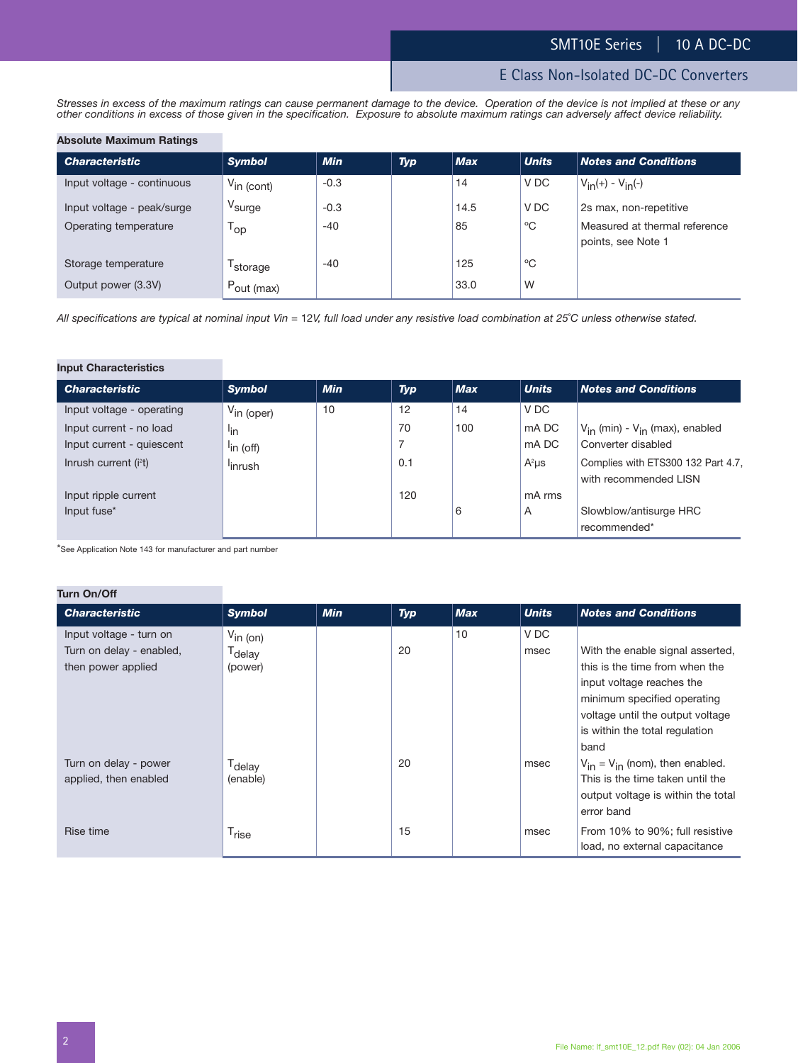*Stresses in excess of the maximum ratings can cause permanent damage to the device. Operation of the device is not implied at these or any other conditions in excess of those given in the specification. Exposure to absolute maximum ratings can adversely affect device reliability.*

#### **Absolute Maximum Ratings**

| <b>Characteristic</b>      | <b>Symbol</b>          | <b>Min</b> | <b>Typ</b> | <b>Max</b> | <b>Units</b> | <b>Notes and Conditions</b>                         |
|----------------------------|------------------------|------------|------------|------------|--------------|-----------------------------------------------------|
| Input voltage - continuous | $V_{\text{in (cont)}}$ | $-0.3$     |            | 14         | V DC         | $V_{in}(+) - V_{in}(-)$                             |
| Input voltage - peak/surge | V <sub>surge</sub>     | $-0.3$     |            | 14.5       | V DC         | 2s max, non-repetitive                              |
| Operating temperature      | 'op                    | $-40$      |            | 85         | $^{\circ}$ C | Measured at thermal reference<br>points, see Note 1 |
| Storage temperature        | 'storage               | $-40$      |            | 125        | °C           |                                                     |
| Output power (3.3V)        | $P_{\text{out (max)}}$ |            |            | 33.0       | W            |                                                     |

*All specifications are typical at nominal input Vin =* 12*V, full load under any resistive load combination at 25*˚*C unless otherwise stated.*

#### **Input Characteristics**

| <b>Characteristic</b>     | <b>Symbol</b>          | <b>Min</b> | <b>Typ</b>        | <b>Max</b> | <b>Units</b> | <b>Notes and Conditions</b>                                 |
|---------------------------|------------------------|------------|-------------------|------------|--------------|-------------------------------------------------------------|
| Input voltage - operating | $V_{\text{in (oper)}}$ | 10         | $12 \overline{ }$ | 14         | V DC         |                                                             |
| Input current - no load   | <sup>l</sup> in        |            | 70                | 100        | mA DC        | $V_{in}$ (min) - $V_{in}$ (max), enabled                    |
| Input current - quiescent | <sup>I</sup> in (off)  |            |                   |            | mA DC        | Converter disabled                                          |
| Inrush current $(i2t)$    | <sup>I</sup> inrush    |            | 0.1               |            | $A^2\mu s$   | Complies with ETS300 132 Part 4.7,<br>with recommended LISN |
| Input ripple current      |                        |            | 120               |            | mA rms       |                                                             |
| Input fuse*               |                        |            |                   | 6          | A            | Slowblow/antisurge HRC<br>recommended*                      |

\*See Application Note 143 for manufacturer and part number

## **Turn On/Off**

| <b>Characteristic</b>                                                     | <b>Symbol</b>                                         | <b>Min</b> | <b>Typ</b> | <b>Max</b> | <b>Units</b> | <b>Notes and Conditions</b>                                                                                                                                                                          |
|---------------------------------------------------------------------------|-------------------------------------------------------|------------|------------|------------|--------------|------------------------------------------------------------------------------------------------------------------------------------------------------------------------------------------------------|
| Input voltage - turn on<br>Turn on delay - enabled,<br>then power applied | $V_{\text{in (on)}}$<br>T <sub>delay</sub><br>(power) |            | 20         | 10         | V DC<br>msec | With the enable signal asserted,<br>this is the time from when the<br>input voltage reaches the<br>minimum specified operating<br>voltage until the output voltage<br>is within the total regulation |
| Turn on delay - power<br>applied, then enabled                            | T <sub>delay</sub><br>(enable)                        |            | 20         |            | msec         | band<br>$V_{in} = V_{in}$ (nom), then enabled.<br>This is the time taken until the<br>output voltage is within the total<br>error band                                                               |
| Rise time                                                                 | T <sub>rise</sub>                                     |            | 15         |            | msec         | From 10% to 90%; full resistive<br>load, no external capacitance                                                                                                                                     |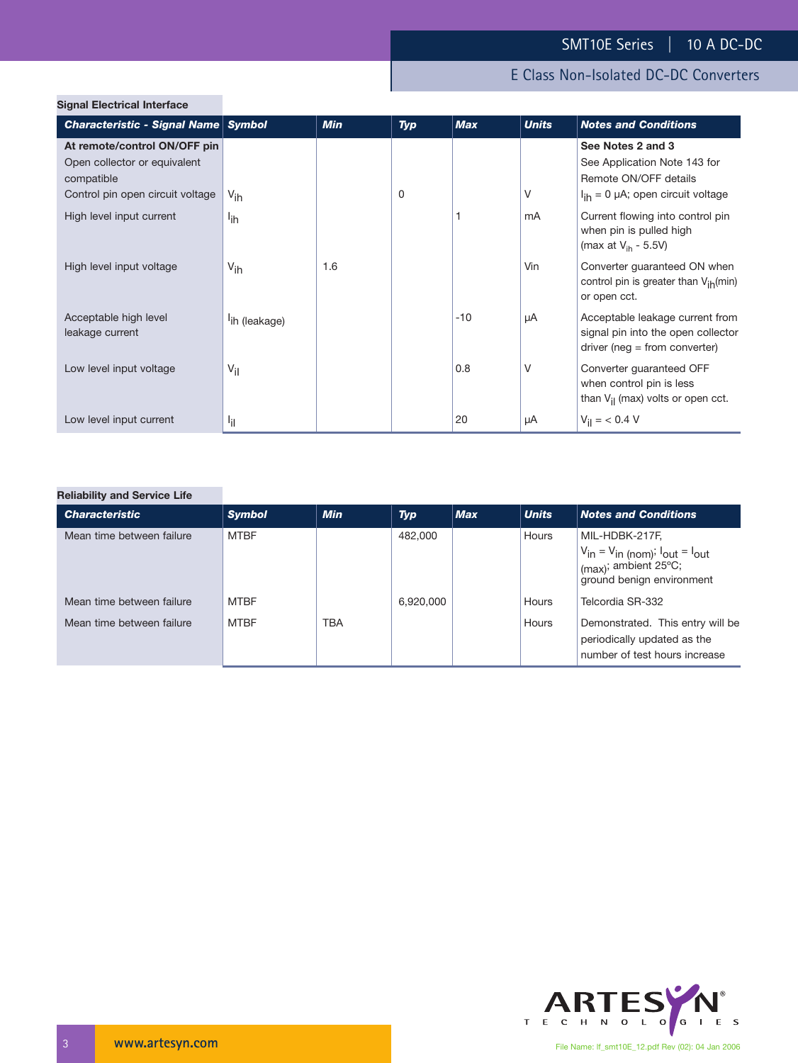| <b>Signal Electrical Interface</b>                                         |                           |            |     |            |              |                                                                                                                 |
|----------------------------------------------------------------------------|---------------------------|------------|-----|------------|--------------|-----------------------------------------------------------------------------------------------------------------|
| Characteristic - Signal Name Symbol                                        |                           | <b>Min</b> | Typ | <b>Max</b> | <b>Units</b> | <b>Notes and Conditions</b>                                                                                     |
| At remote/control ON/OFF pin<br>Open collector or equivalent<br>compatible |                           |            |     |            |              | See Notes 2 and 3<br>See Application Note 143 for<br>Remote ON/OFF details                                      |
| Control pin open circuit voltage                                           | $V_{ih}$                  |            | 0   |            | V            | $I_{ih} = 0$ µA; open circuit voltage                                                                           |
| High level input current                                                   | l <sub>ih</sub>           |            |     |            | mA           | Current flowing into control pin<br>when pin is pulled high<br>(max at $V_{\text{ih}}$ - 5.5V)                  |
| High level input voltage                                                   | $V_{ih}$                  | 1.6        |     |            | Vin          | Converter guaranteed ON when<br>control pin is greater than V <sub>ih</sub> (min)<br>or open cct.               |
| Acceptable high level<br>leakage current                                   | <sup>l</sup> ih (leakage) |            |     | $-10$      | μA           | Acceptable leakage current from<br>signal pin into the open collector<br>$\text{driver (neg = from converter)}$ |
| Low level input voltage                                                    | $V_{\rm{il}}$             |            |     | 0.8        | $\vee$       | Converter guaranteed OFF<br>when control pin is less<br>than $V_{il}$ (max) volts or open cct.                  |
| Low level input current                                                    | ٠i۱                       |            |     | 20         | μA           | $V_{\text{il}} = 6.4 \text{ V}$                                                                                 |
|                                                                            |                           |            |     |            |              |                                                                                                                 |

## **Reliability and Service Life**

| <b>Characteristic</b>     | <b>Symbol</b> | <b>Min</b> | <b>Typ</b> | <b>Max</b> | <b>Units</b> | <b>Notes and Conditions</b>                                                                                                 |
|---------------------------|---------------|------------|------------|------------|--------------|-----------------------------------------------------------------------------------------------------------------------------|
| Mean time between failure | <b>MTBF</b>   |            | 482.000    |            | Hours        | MIL-HDBK-217F,<br>$V_{in} = V_{in (nom)}$ ; $I_{out} = I_{out}$<br>$\mid$ (max); ambient 25°C;<br>ground benign environment |
| Mean time between failure | <b>MTBF</b>   |            | 6,920,000  |            | Hours        | Telcordia SR-332                                                                                                            |
| Mean time between failure | <b>MTBF</b>   | <b>TBA</b> |            |            | Hours        | Demonstrated. This entry will be<br>periodically updated as the<br>number of test hours increase                            |

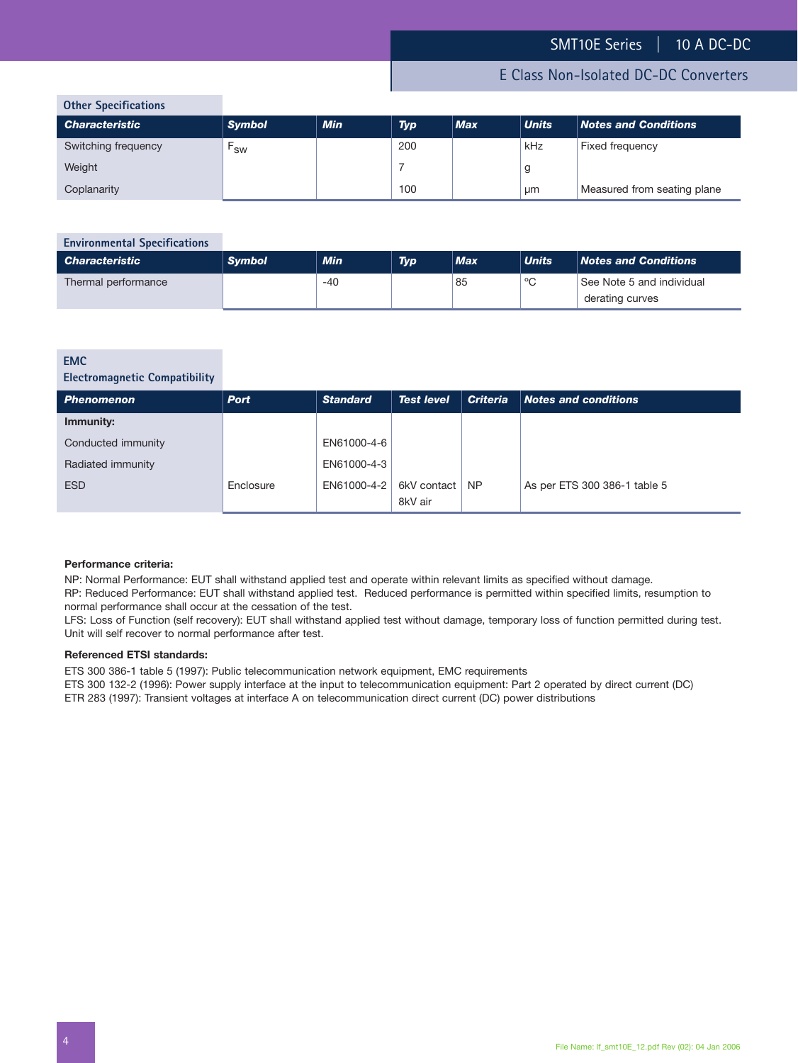## E Class Non-Isolated DC-DC Converters

|  | <b>Other Specifications</b> |
|--|-----------------------------|
|  |                             |

| <b>UCITE: Specifications</b> |               |            |            |            |              |                             |
|------------------------------|---------------|------------|------------|------------|--------------|-----------------------------|
| <b>Characteristic</b>        | <b>Symbol</b> | <b>Min</b> | <b>Typ</b> | <b>Max</b> | <b>Units</b> | <b>Notes and Conditions</b> |
| Switching frequency          | <b>SW</b>     |            | 200        |            | kHz          | Fixed frequency             |
| Weight                       |               |            |            |            |              |                             |
| Coplanarity                  |               |            | 100        |            | μm           | Measured from seating plane |

## **Environmental Specifications** *Characteristic Symbol Min Typ Max Units Notes and Conditions* Thermal performance 1985 and individual structure of the structure of the structure of the structure of the structure of the structure of the structure of the structure of the structure of the structure of the structure of derating curves

#### **EMC**

## **Electromagnetic Compatibility**

| <b>Phenomenon</b>  | <b>Port</b> | <b>Standard</b> | <b>Test level</b>      | <b>Criteria</b> | Notes and conditions         |
|--------------------|-------------|-----------------|------------------------|-----------------|------------------------------|
| Immunity:          |             |                 |                        |                 |                              |
| Conducted immunity |             | EN61000-4-6     |                        |                 |                              |
| Radiated immunity  |             | EN61000-4-3     |                        |                 |                              |
| <b>ESD</b>         | Enclosure   | EN61000-4-2     | 6kV contact<br>8kV air | NP.             | As per ETS 300 386-1 table 5 |

#### **Performance criteria:**

NP: Normal Performance: EUT shall withstand applied test and operate within relevant limits as specified without damage.

RP: Reduced Performance: EUT shall withstand applied test. Reduced performance is permitted within specified limits, resumption to normal performance shall occur at the cessation of the test.

LFS: Loss of Function (self recovery): EUT shall withstand applied test without damage, temporary loss of function permitted during test. Unit will self recover to normal performance after test.

#### **Referenced ETSI standards:**

ETS 300 386-1 table 5 (1997): Public telecommunication network equipment, EMC requirements

ETS 300 132-2 (1996): Power supply interface at the input to telecommunication equipment: Part 2 operated by direct current (DC)

ETR 283 (1997): Transient voltages at interface A on telecommunication direct current (DC) power distributions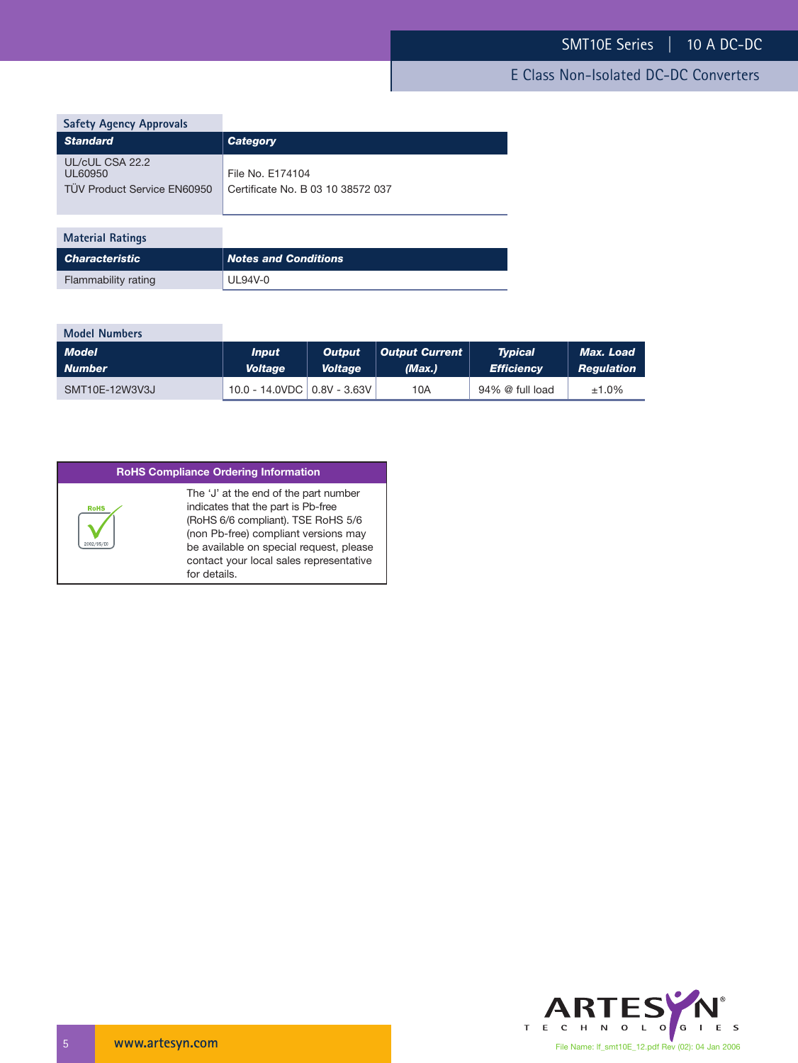| <b>Safety Agency Approvals</b>                            |                                                       |
|-----------------------------------------------------------|-------------------------------------------------------|
| <b>Standard</b>                                           | <b>Category</b>                                       |
| UL/cUL CSA 22.2<br>UL60950<br>TÜV Product Service EN60950 | File No. E174104<br>Certificate No. B 03 10 38572 037 |
| <b>Material Ratings</b>                                   |                                                       |
| <b>Characteristic</b>                                     | <b>Notes and Conditions</b>                           |

| <b>Model Numbers</b> |                                        |                |                |                   |                  |
|----------------------|----------------------------------------|----------------|----------------|-------------------|------------------|
| <b>Model</b>         | <i>Input</i>                           | <b>Output</b>  | Output Current | <b>Typical</b>    | <b>Max. Load</b> |
| <b>Number</b>        | <b>Voltage</b>                         | <b>Voltage</b> | (Max.)         | <b>Efficiency</b> | Regulation       |
| SMT10E-12W3V3J       | $10.0 - 14.0$ VDC $\vert$ 0.8V - 3.63V |                | 10A            | 94% @ full load   | ±1.0%            |

| <b>RoHS Compliance Ordering Information</b> |                                                                                                                                                                                                                                                                 |  |  |  |  |
|---------------------------------------------|-----------------------------------------------------------------------------------------------------------------------------------------------------------------------------------------------------------------------------------------------------------------|--|--|--|--|
| <b>RoHS</b>                                 | The 'J' at the end of the part number<br>indicates that the part is Pb-free<br>(RoHS 6/6 compliant). TSE RoHS 5/6<br>(non Pb-free) compliant versions may<br>be available on special request, please<br>contact your local sales representative<br>for details. |  |  |  |  |

Flammability rating UL94V-0

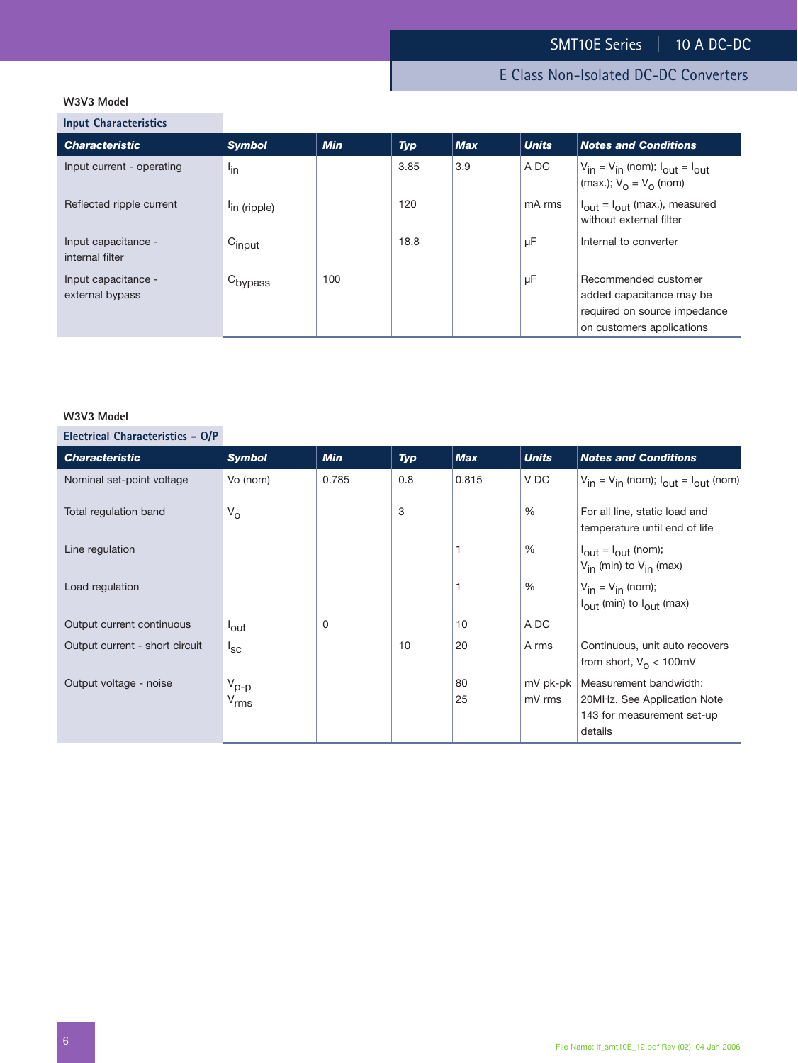## E Class Non-Isolated DC-DC Converters

## **W3V3 Model**

**Input Characteristics**

| <b>Characteristic</b>                  | <b>Symbol</b>            | <b>Min</b> | <b>Typ</b> | Max | <b>Units</b> | <b>Notes and Conditions</b>                                                                                   |
|----------------------------------------|--------------------------|------------|------------|-----|--------------|---------------------------------------------------------------------------------------------------------------|
| Input current - operating              | $I_{\text{in}}$          |            | 3.85       | 3.9 | A DC         | $V_{in} = V_{in}$ (nom); $I_{out} = I_{out}$<br>(max.); $V_0 = V_0$ (nom)                                     |
| Reflected ripple current               | <sup>l</sup> in (ripple) |            | 120        |     | mA rms       | $I_{\text{out}} = I_{\text{out}}$ (max.), measured<br>without external filter                                 |
| Input capacitance -<br>internal filter | $C_{input}$              |            | 18.8       |     | μF           | Internal to converter                                                                                         |
| Input capacitance -<br>external bypass | C <sub>bypass</sub>      | 100        |            |     | μF           | Recommended customer<br>added capacitance may be<br>required on source impedance<br>on customers applications |

## **W3V3 Model**

**Electrical Characteristics - O/P**

| <b>Characteristic</b>          | <b>Symbol</b>      | <b>Min</b> | Typ | <b>Max</b> | <b>Units</b> | <b>Notes and Conditions</b>                                                  |
|--------------------------------|--------------------|------------|-----|------------|--------------|------------------------------------------------------------------------------|
| Nominal set-point voltage      | Vo (nom)           | 0.785      | 0.8 | 0.815      | V DC         | $V_{in} = V_{in}$ (nom); $I_{out} = I_{out}$ (nom)                           |
| Total regulation band          | $V_{\rm O}$        |            | 3   |            | %            | For all line, static load and<br>temperature until end of life               |
| Line regulation                |                    |            |     |            | %            | $I_{\text{out}} = I_{\text{out}}$ (nom);<br>$V_{in}$ (min) to $V_{in}$ (max) |
| Load regulation                |                    |            |     |            | %            | $V_{in} = V_{in}$ (nom);<br>$I_{\text{out}}$ (min) to $I_{\text{out}}$ (max) |
| Output current continuous      | <sup>l</sup> out   | 0          |     | 10         | A DC         |                                                                              |
| Output current - short circuit | $I_{SC}$           |            | 10  | 20         | A rms        | Continuous, unit auto recovers<br>from short, $V_{\Omega}$ < 100mV           |
| Output voltage - noise         | $V_{p-p}$          |            |     | 80         | mV pk-pk     | Measurement bandwidth:                                                       |
|                                | $V_{\mathsf{rms}}$ |            |     | 25         | mV rms       | 20MHz. See Application Note                                                  |
|                                |                    |            |     |            |              | 143 for measurement set-up                                                   |
|                                |                    |            |     |            |              | details                                                                      |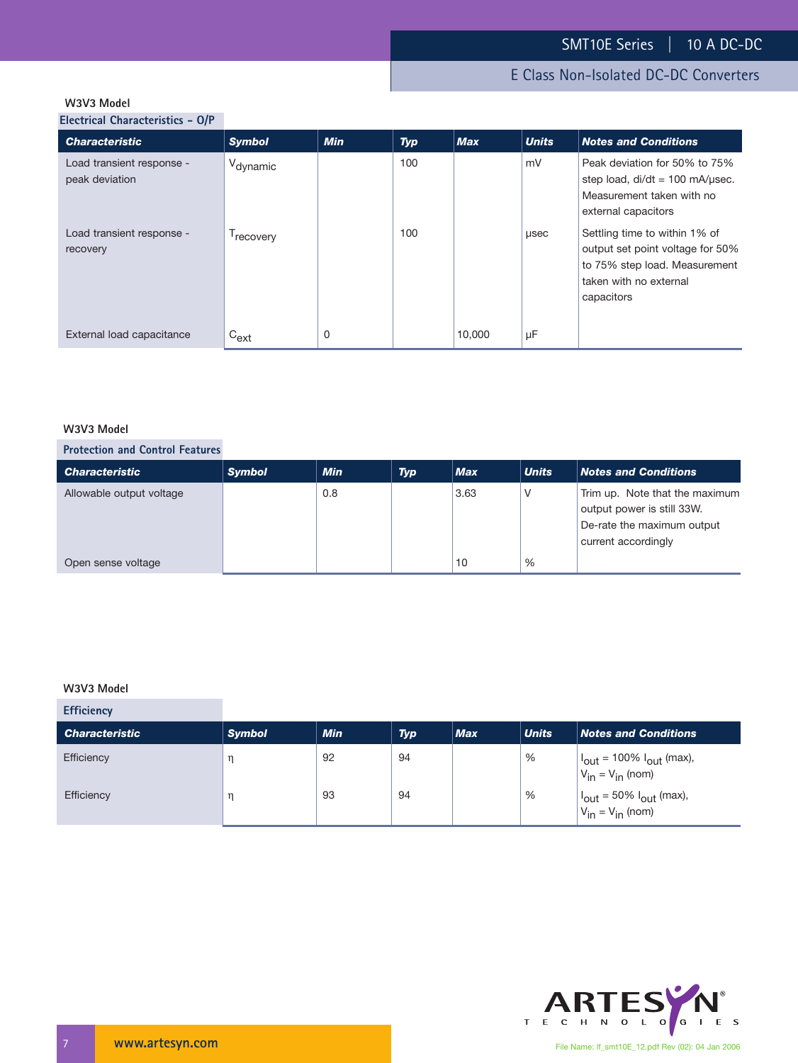## **W3V3 Model**

**Electrical Characteristics - O/P**

| <b>Characteristic</b>                       | <b>Symbol</b>         | <b>Min</b> | <b>Typ</b> | <b>Max</b> | <b>Units</b> | <b>Notes and Conditions</b>                                                                                                                |
|---------------------------------------------|-----------------------|------------|------------|------------|--------------|--------------------------------------------------------------------------------------------------------------------------------------------|
| Load transient response -<br>peak deviation | V <sub>dynamic</sub>  |            | 100        |            | mV           | Peak deviation for 50% to 75%<br>step load, $di/dt = 100$ mA/usec.<br>Measurement taken with no<br>external capacitors                     |
| Load transient response -<br>recovery       | <sup>1</sup> recovery |            | 100        |            | µsec         | Settling time to within 1% of<br>output set point voltage for 50%<br>to 75% step load. Measurement<br>taken with no external<br>capacitors |
| External load capacitance                   | $C_{ext}$             | 0          |            | 10,000     | μF           |                                                                                                                                            |

## **W3V3 Model**

## **Protection and Control Features**

| <b>Characteristic</b>    | <b>Symbol</b> | <b>Min</b> | <b>Typ</b> | <b>Max</b> | <b>Units</b> | <b>Notes and Conditions</b>                                                                                       |
|--------------------------|---------------|------------|------------|------------|--------------|-------------------------------------------------------------------------------------------------------------------|
| Allowable output voltage |               | 0.8        |            | 3.63       |              | Trim up. Note that the maximum<br>output power is still 33W.<br>De-rate the maximum output<br>current accordingly |
| Open sense voltage       |               |            |            | 10         | %            |                                                                                                                   |

## **W3V3 Model**

| <b>Efficiency</b>     |               |            |            |     |              |                                                                                                                                 |
|-----------------------|---------------|------------|------------|-----|--------------|---------------------------------------------------------------------------------------------------------------------------------|
| <b>Characteristic</b> | <b>Symbol</b> | <b>Min</b> | <b>Typ</b> | Max | <b>Units</b> | <b>Notes and Conditions</b>                                                                                                     |
| Efficiency            | $^{\rm n}$    | 92         | 94         |     | %            | $\begin{cases} I_{\text{out}} = 100\% I_{\text{out}} \text{ (max)}, \\ V_{\text{in}} = V_{\text{in}} \text{ (nom)} \end{cases}$ |
| Efficiency            | n             | 93         | 94         |     | %            | $\vert I_{\text{out}} = 50\% \vert_{\text{out}}$ (max),<br>$V_{in} = V_{in}$ (nom)                                              |

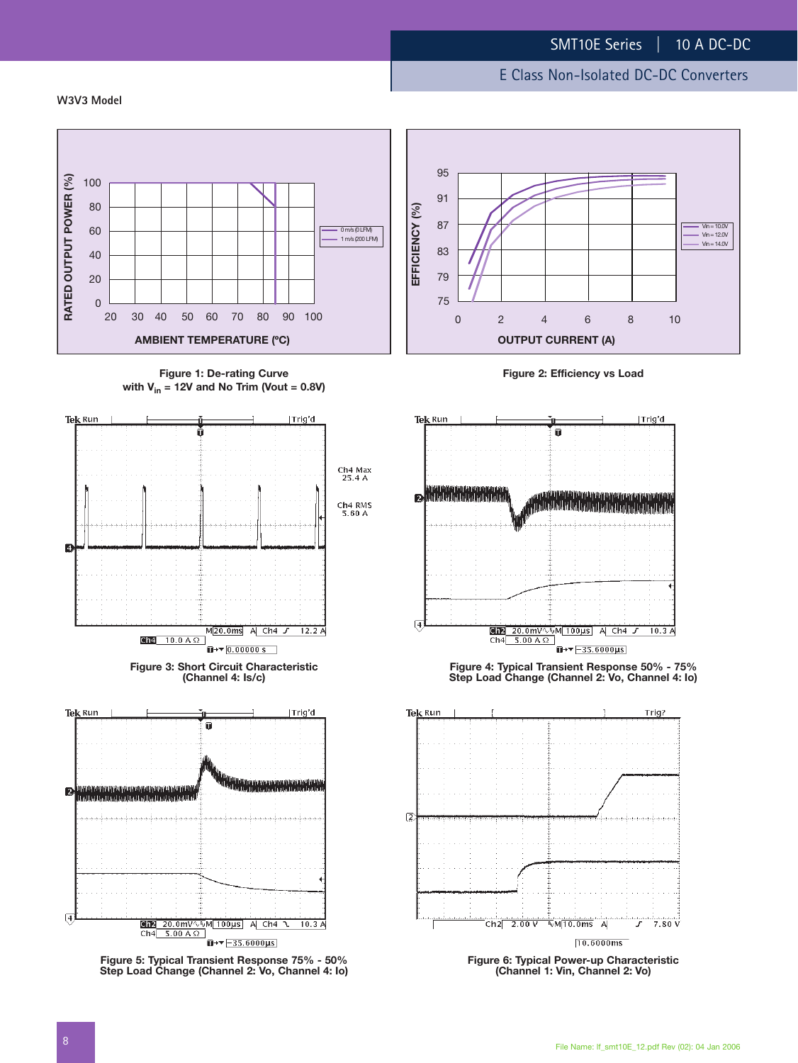#### **W3V3 Model**



**Figure 1: De-rating Curve with Vin = 12V and No Trim (Vout = 0.8V)**





**Figure 5: Typical Transient Response 75% - 50% Step Load Change (Channel 2: Vo, Channel 4: Io)**



**Figure 2: Efficiency vs Load**



**Figure 4: Typical Transient Response 50% - 75% Step Load Change (Channel 2: Vo, Channel 4: Io)**



**Figure 6: Typical Power-up Characteristic (Channel 1: Vin, Channel 2: Vo)**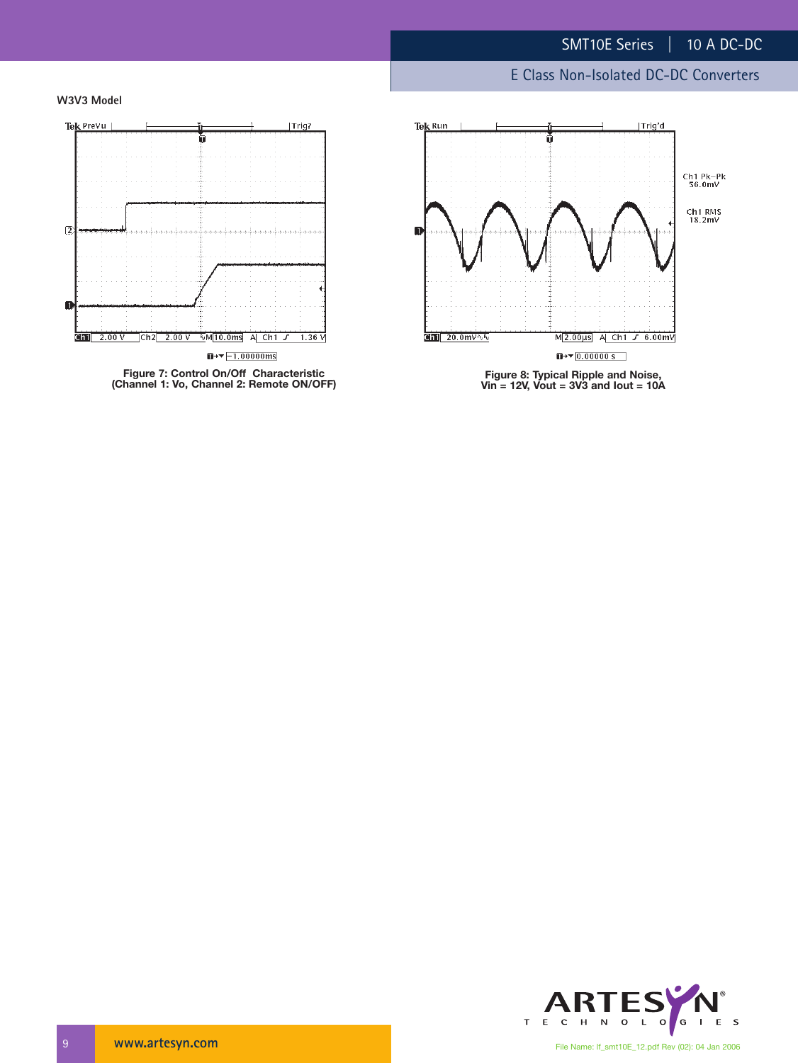## E Class Non-Isolated DC-DC Converters





**(Channel 1: Vo, Channel 2: Remote ON/OFF)**



**Figure 8: Typical Ripple and Noise, Vin = 12V, Vout = 3V3 and Iout = 10A**

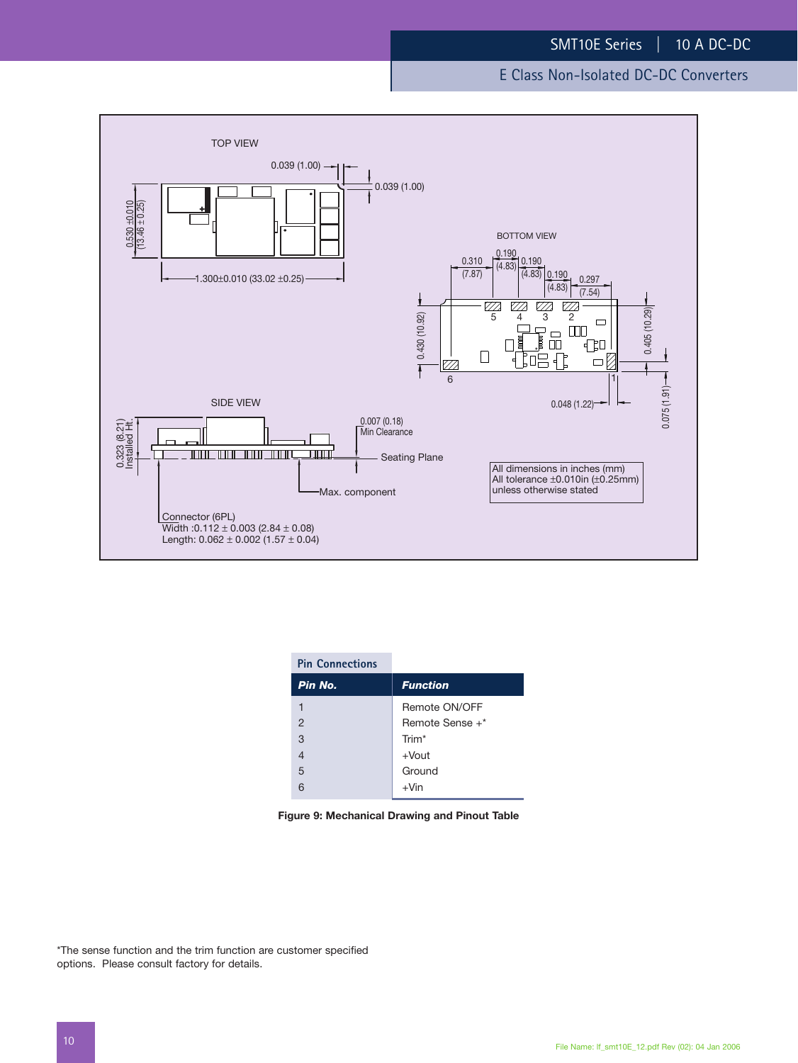

| <b>Pin Connections</b> |                   |
|------------------------|-------------------|
| Pin No.                | <b>Function</b>   |
|                        | Remote ON/OFF     |
| $\overline{2}$         | Remote Sense +*   |
| 3                      | Trim <sup>*</sup> |
| $\overline{4}$         | $+$ Vout          |
| 5                      | Ground            |
|                        | $+V$ in           |

|  | Figure 9: Mechanical Drawing and Pinout Table |  |  |  |  |
|--|-----------------------------------------------|--|--|--|--|
|--|-----------------------------------------------|--|--|--|--|

\*The sense function and the trim function are customer specified options. Please consult factory for details.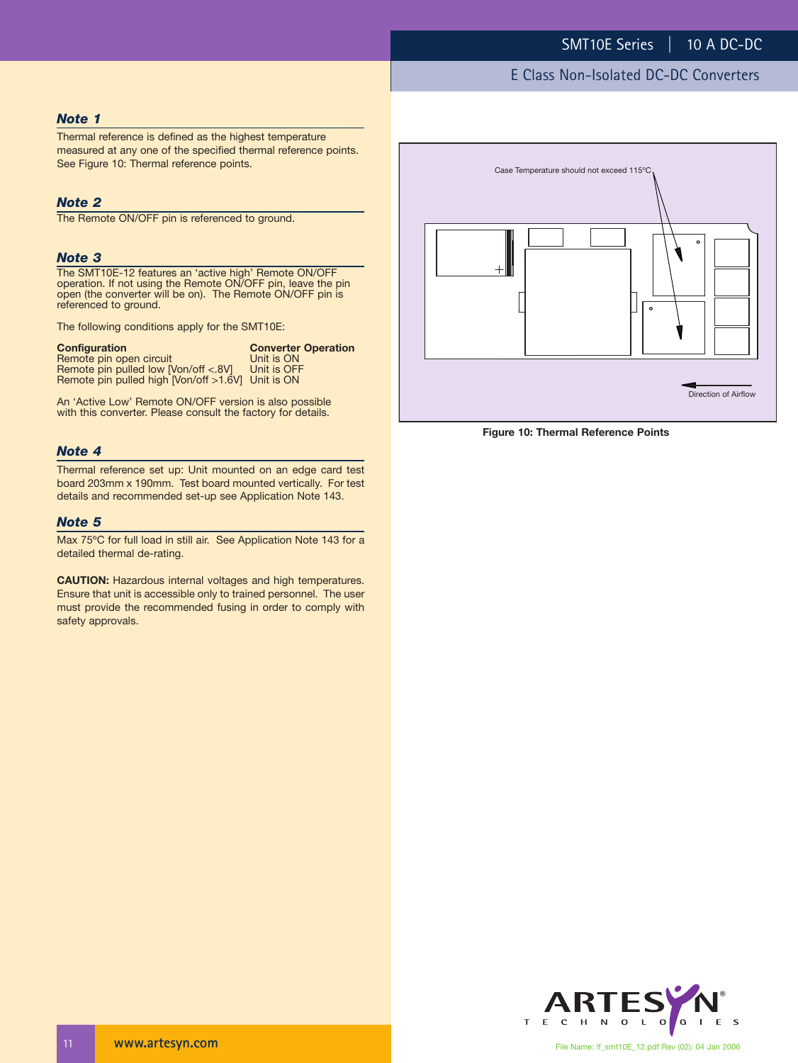#### *Note 1*

Thermal reference is defined as the highest temperature measured at any one of the specified thermal reference points. See Figure 10: Thermal reference points.

#### *Note 2*

The Remote ON/OFF pin is referenced to ground.

#### *Note 3*

The SMT10E-12 features an 'active high' Remote ON/OFF operation. If not using the Remote ON/OFF pin, leave the pin open (the converter will be on). The Remote ON/OFF pin is referenced to ground.

The following conditions apply for the SMT10E:

| <b>Configuration</b>                              | <b>Converter Operation</b> |
|---------------------------------------------------|----------------------------|
| Remote pin open circuit                           | Unit is ON                 |
| Remote pin pulled low [Von/off <.8V]              | Unit is OFF                |
| Remote pin pulled high [Von/off >1.6V] Unit is ON |                            |

An 'Active Low' Remote ON/OFF version is also possible with this converter. Please consult the factory for details.

#### *Note 4*

Thermal reference set up: Unit mounted on an edge card test board 203mm x 190mm. Test board mounted vertically. For test details and recommended set-up see Application Note 143.

#### *Note 5*

Max 75ºC for full load in still air. See Application Note 143 for a detailed thermal de-rating.

**CAUTION:** Hazardous internal voltages and high temperatures. Ensure that unit is accessible only to trained personnel. The user must provide the recommended fusing in order to comply with safety approvals.



**Figure 10: Thermal Reference Points**